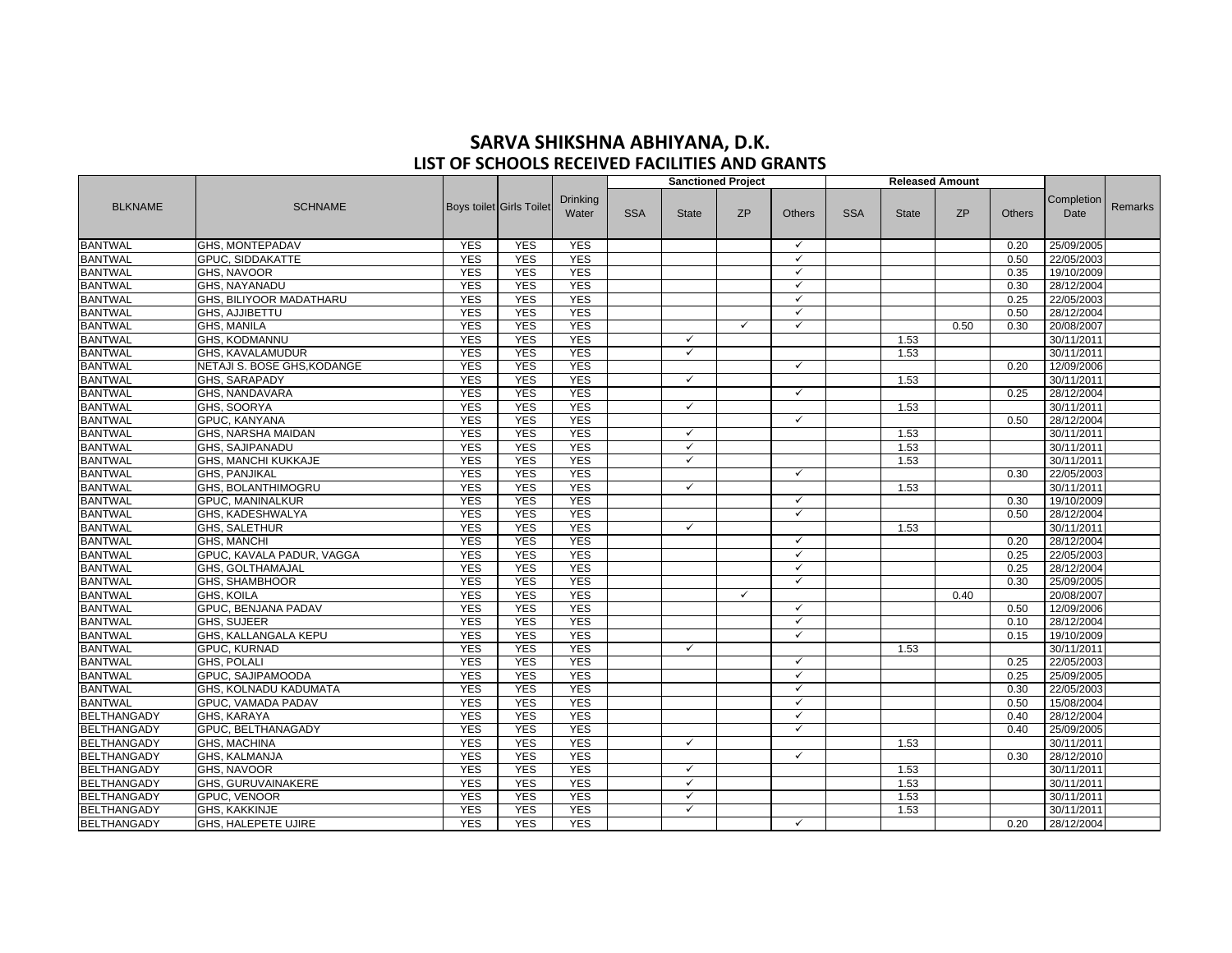## **SARVA SHIKSHNA ABHIYANA, D.K. LIST OF SCHOOLS RECEIVED FACILITIES AND GRANTS**

|                    |                             |            |                                 |                          |            |              | <b>Sanctioned Project</b> |               | <b>Released Amount</b> |              |           |               |                    |                |
|--------------------|-----------------------------|------------|---------------------------------|--------------------------|------------|--------------|---------------------------|---------------|------------------------|--------------|-----------|---------------|--------------------|----------------|
| <b>BLKNAME</b>     | <b>SCHNAME</b>              |            | <b>Boys toilet Girls Toilet</b> | <b>Drinking</b><br>Water | <b>SSA</b> | <b>State</b> | <b>ZP</b>                 | <b>Others</b> | <b>SSA</b>             | <b>State</b> | <b>ZP</b> | <b>Others</b> | Completion<br>Date | <b>Remarks</b> |
| <b>BANTWAL</b>     | <b>GHS, MONTEPADAV</b>      | <b>YES</b> | <b>YES</b>                      | <b>YES</b>               |            |              |                           | $\checkmark$  |                        |              |           | 0.20          | 25/09/2005         |                |
| <b>BANTWAL</b>     | <b>GPUC, SIDDAKATTE</b>     | <b>YES</b> | <b>YES</b>                      | <b>YES</b>               |            |              |                           | $\checkmark$  |                        |              |           | 0.50          | 22/05/2003         |                |
| <b>BANTWAL</b>     | <b>GHS. NAVOOR</b>          | <b>YES</b> | <b>YES</b>                      | <b>YES</b>               |            |              |                           | $\checkmark$  |                        |              |           | 0.35          | 19/10/2009         |                |
| <b>BANTWAL</b>     | <b>GHS, NAYANADU</b>        | <b>YES</b> | <b>YES</b>                      | <b>YES</b>               |            |              |                           | $\checkmark$  |                        |              |           | 0.30          | 28/12/2004         |                |
| <b>BANTWAL</b>     | GHS, BILIYOOR MADATHARU     | <b>YES</b> | <b>YES</b>                      | <b>YES</b>               |            |              |                           | $\checkmark$  |                        |              |           | 0.25          | 22/05/2003         |                |
| <b>BANTWAL</b>     | GHS, AJJIBETTU              | <b>YES</b> | <b>YES</b>                      | <b>YES</b>               |            |              |                           | $\checkmark$  |                        |              |           | 0.50          | 28/12/2004         |                |
| <b>BANTWAL</b>     | GHS, MANILA                 | <b>YES</b> | <b>YES</b>                      | <b>YES</b>               |            |              | $\checkmark$              | $\checkmark$  |                        |              | 0.50      | 0.30          | 20/08/2007         |                |
| <b>BANTWAL</b>     | <b>GHS, KODMANNU</b>        | <b>YES</b> | <b>YES</b>                      | <b>YES</b>               |            | ✓            |                           |               |                        | 1.53         |           |               | 30/11/2011         |                |
| <b>BANTWAL</b>     | <b>GHS. KAVALAMUDUR</b>     | <b>YES</b> | <b>YES</b>                      | <b>YES</b>               |            | $\checkmark$ |                           |               |                        | 1.53         |           |               | 30/11/2011         |                |
| <b>BANTWAL</b>     | NETAJI S. BOSE GHS, KODANGE | <b>YES</b> | <b>YES</b>                      | <b>YES</b>               |            |              |                           | $\checkmark$  |                        |              |           | 0.20          | 12/09/2006         |                |
| <b>BANTWAL</b>     | <b>GHS, SARAPADY</b>        | <b>YES</b> | <b>YES</b>                      | <b>YES</b>               |            | ✓            |                           |               |                        | 1.53         |           |               | 30/11/2011         |                |
| <b>BANTWAL</b>     | GHS, NANDAVARA              | <b>YES</b> | <b>YES</b>                      | <b>YES</b>               |            |              |                           | $\checkmark$  |                        |              |           | 0.25          | 28/12/2004         |                |
| <b>BANTWAL</b>     | GHS, SOORYA                 | <b>YES</b> | <b>YES</b>                      | <b>YES</b>               |            | $\checkmark$ |                           |               |                        | 1.53         |           |               | 30/11/2011         |                |
| <b>BANTWAL</b>     | <b>GPUC, KANYANA</b>        | <b>YES</b> | <b>YES</b>                      | <b>YES</b>               |            |              |                           | $\checkmark$  |                        |              |           | 0.50          | 28/12/2004         |                |
| <b>BANTWAL</b>     | GHS, NARSHA MAIDAN          | <b>YES</b> | <b>YES</b>                      | <b>YES</b>               |            | ✓            |                           |               |                        | 1.53         |           |               | 30/11/2011         |                |
| <b>BANTWAL</b>     | <b>GHS, SAJIPANADU</b>      | <b>YES</b> | <b>YES</b>                      | <b>YES</b>               |            | ✓            |                           |               |                        | 1.53         |           |               | 30/11/2011         |                |
| <b>BANTWAL</b>     | GHS, MANCHI KUKKAJE         | <b>YES</b> | <b>YES</b>                      | <b>YES</b>               |            | ✓            |                           |               |                        | 1.53         |           |               | 30/11/2011         |                |
| <b>BANTWAL</b>     | GHS, PANJIKAL               | <b>YES</b> | <b>YES</b>                      | <b>YES</b>               |            |              |                           | $\checkmark$  |                        |              |           | 0.30          | 22/05/2003         |                |
| <b>BANTWAL</b>     | <b>GHS, BOLANTHIMOGRU</b>   | <b>YES</b> | <b>YES</b>                      | <b>YES</b>               |            | ✓            |                           |               |                        | 1.53         |           |               | 30/11/2011         |                |
| <b>BANTWAL</b>     | <b>GPUC, MANINALKUR</b>     | <b>YES</b> | <b>YES</b>                      | <b>YES</b>               |            |              |                           | $\checkmark$  |                        |              |           | 0.30          | 19/10/2009         |                |
| <b>BANTWAL</b>     | GHS, KADESHWALYA            | <b>YES</b> | <b>YES</b>                      | <b>YES</b>               |            |              |                           | $\checkmark$  |                        |              |           | 0.50          | 28/12/2004         |                |
| <b>BANTWAL</b>     | <b>GHS, SALETHUR</b>        | <b>YES</b> | <b>YES</b>                      | <b>YES</b>               |            | ✓            |                           |               |                        | 1.53         |           |               | 30/11/2011         |                |
| <b>BANTWAL</b>     | <b>GHS. MANCHI</b>          | <b>YES</b> | <b>YES</b>                      | <b>YES</b>               |            |              |                           | $\checkmark$  |                        |              |           | 0.20          | 28/12/2004         |                |
| <b>BANTWAL</b>     | GPUC, KAVALA PADUR, VAGGA   | <b>YES</b> | <b>YES</b>                      | <b>YES</b>               |            |              |                           | $\checkmark$  |                        |              |           | 0.25          | 22/05/2003         |                |
| <b>BANTWAL</b>     | <b>GHS, GOLTHAMAJAL</b>     | <b>YES</b> | <b>YES</b>                      | <b>YES</b>               |            |              |                           | $\checkmark$  |                        |              |           | 0.25          | 28/12/2004         |                |
| <b>BANTWAL</b>     | <b>GHS. SHAMBHOOR</b>       | <b>YES</b> | <b>YES</b>                      | <b>YES</b>               |            |              |                           | $\checkmark$  |                        |              |           | 0.30          | 25/09/2005         |                |
| <b>BANTWAL</b>     | <b>GHS, KOILA</b>           | <b>YES</b> | <b>YES</b>                      | <b>YES</b>               |            |              | $\checkmark$              |               |                        |              | 0.40      |               | 20/08/2007         |                |
| <b>BANTWAL</b>     | GPUC, BENJANA PADAV         | <b>YES</b> | <b>YES</b>                      | <b>YES</b>               |            |              |                           | $\checkmark$  |                        |              |           | 0.50          | 12/09/2006         |                |
| <b>BANTWAL</b>     | GHS, SUJEER                 | <b>YES</b> | <b>YES</b>                      | <b>YES</b>               |            |              |                           | $\checkmark$  |                        |              |           | 0.10          | 28/12/2004         |                |
| <b>BANTWAL</b>     | GHS, KALLANGALA KEPU        | <b>YES</b> | <b>YES</b>                      | <b>YES</b>               |            |              |                           | $\checkmark$  |                        |              |           | 0.15          | 19/10/2009         |                |
| <b>BANTWAL</b>     | GPUC, KURNAD                | <b>YES</b> | <b>YES</b>                      | <b>YES</b>               |            | ✓            |                           |               |                        | 1.53         |           |               | 30/11/2011         |                |
| <b>BANTWAL</b>     | <b>GHS, POLALI</b>          | <b>YES</b> | <b>YES</b>                      | <b>YES</b>               |            |              |                           | $\checkmark$  |                        |              |           | 0.25          | 22/05/2003         |                |
| <b>BANTWAL</b>     | GPUC, SAJIPAMOODA           | <b>YES</b> | <b>YES</b>                      | <b>YES</b>               |            |              |                           | $\checkmark$  |                        |              |           | 0.25          | 25/09/2005         |                |
| <b>BANTWAL</b>     | GHS, KOLNADU KADUMATA       | <b>YES</b> | <b>YES</b>                      | <b>YES</b>               |            |              |                           | $\checkmark$  |                        |              |           | 0.30          | 22/05/2003         |                |
| <b>BANTWAL</b>     | GPUC, VAMADA PADAV          | <b>YES</b> | <b>YES</b>                      | <b>YES</b>               |            |              |                           | $\checkmark$  |                        |              |           | 0.50          | 15/08/2004         |                |
| <b>BELTHANGADY</b> | <b>GHS, KARAYA</b>          | <b>YES</b> | <b>YES</b>                      | <b>YES</b>               |            |              |                           | $\checkmark$  |                        |              |           | 0.40          | 28/12/2004         |                |
| <b>BELTHANGADY</b> | <b>GPUC. BELTHANAGADY</b>   | <b>YES</b> | <b>YES</b>                      | <b>YES</b>               |            |              |                           | $\checkmark$  |                        |              |           | 0.40          | 25/09/2005         |                |
| BELTHANGADY        | <b>GHS, MACHINA</b>         | <b>YES</b> | <b>YES</b>                      | <b>YES</b>               |            | ✓            |                           |               |                        | 1.53         |           |               | 30/11/2011         |                |
| <b>BELTHANGADY</b> | <b>GHS. KALMANJA</b>        | <b>YES</b> | <b>YES</b>                      | <b>YES</b>               |            |              |                           | $\checkmark$  |                        |              |           | 0.30          | 28/12/2010         |                |
| <b>BELTHANGADY</b> | <b>GHS. NAVOOR</b>          | <b>YES</b> | <b>YES</b>                      | <b>YES</b>               |            | ✓            |                           |               |                        | 1.53         |           |               | 30/11/2011         |                |
| <b>BELTHANGADY</b> | GHS, GURUVAINAKERE          | <b>YES</b> | <b>YES</b>                      | <b>YES</b>               |            | ✓            |                           |               |                        | 1.53         |           |               | 30/11/2011         |                |
| <b>BELTHANGADY</b> | <b>GPUC, VENOOR</b>         | <b>YES</b> | <b>YES</b>                      | <b>YES</b>               |            | $\checkmark$ |                           |               |                        | 1.53         |           |               | 30/11/2011         |                |
| BELTHANGADY        | GHS, KAKKINJE               | <b>YES</b> | <b>YES</b>                      | <b>YES</b>               |            | ✓            |                           |               |                        | 1.53         |           |               | 30/11/2011         |                |
| BELTHANGADY        | GHS, HALEPETE UJIRE         | <b>YES</b> | <b>YES</b>                      | <b>YES</b>               |            |              |                           | $\checkmark$  |                        |              |           | 0.20          | 28/12/2004         |                |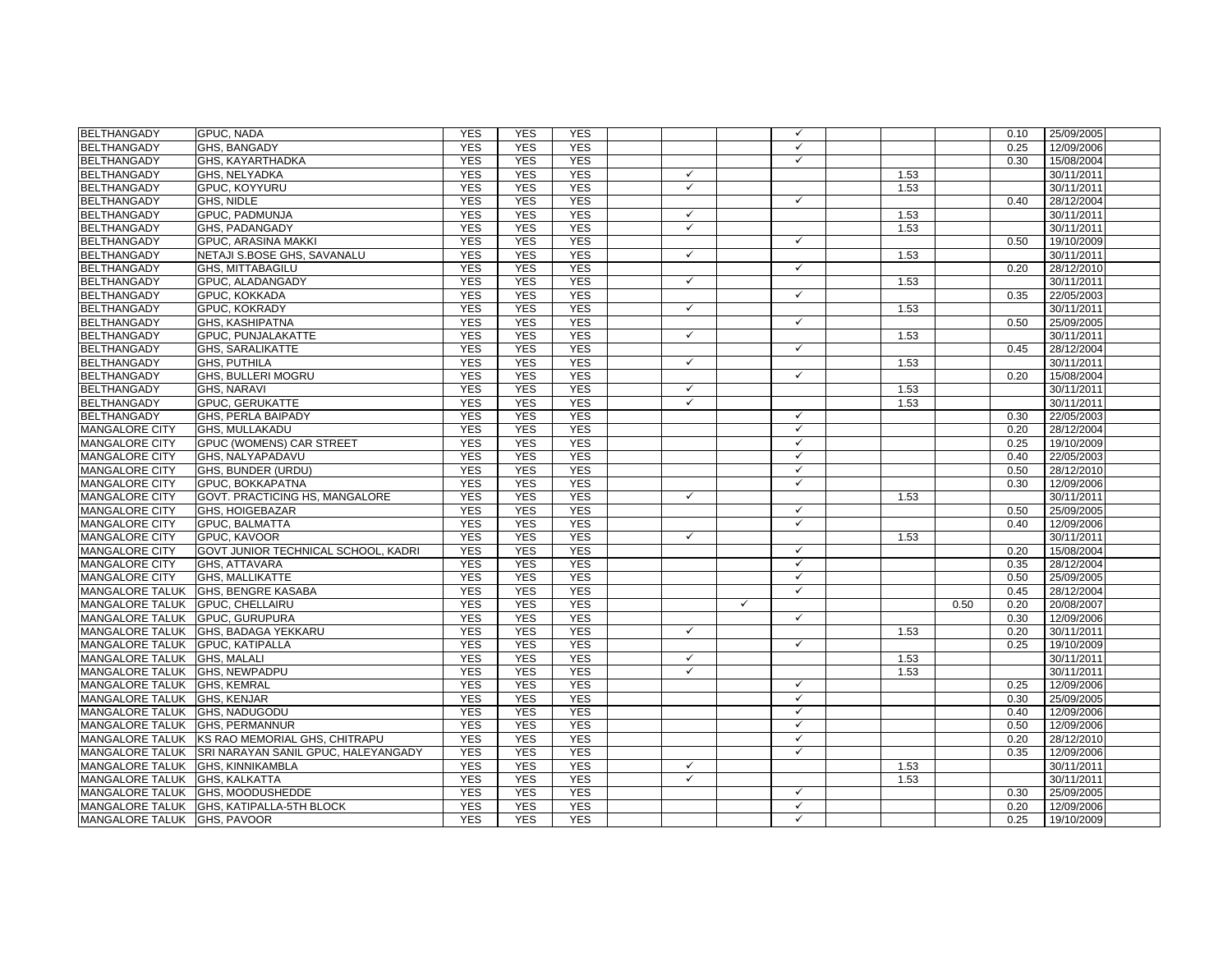| <b>BELTHANGADY</b>               | <b>GPUC, NADA</b>                                   | <b>YES</b> | <b>YES</b> | <b>YES</b> |              |              | $\checkmark$ |      |      | 0.10 | 25/09/2005 |
|----------------------------------|-----------------------------------------------------|------------|------------|------------|--------------|--------------|--------------|------|------|------|------------|
| <b>BELTHANGADY</b>               | GHS, BANGADY                                        | <b>YES</b> | <b>YES</b> | <b>YES</b> |              |              | $\checkmark$ |      |      | 0.25 | 12/09/2006 |
| <b>BELTHANGADY</b>               | GHS, KAYARTHADKA                                    | <b>YES</b> | <b>YES</b> | <b>YES</b> |              |              | $\checkmark$ |      |      | 0.30 | 15/08/2004 |
| <b>BELTHANGADY</b>               | GHS, NELYADKA                                       | <b>YES</b> | <b>YES</b> | <b>YES</b> | $\checkmark$ |              |              | 1.53 |      |      | 30/11/2011 |
| <b>BELTHANGADY</b>               | GPUC, KOYYURU                                       | <b>YES</b> | <b>YES</b> | <b>YES</b> | $\checkmark$ |              |              | 1.53 |      |      | 30/11/2011 |
| <b>BELTHANGADY</b>               | GHS, NIDLE                                          | <b>YES</b> | <b>YES</b> | <b>YES</b> |              |              | $\checkmark$ |      |      | 0.40 | 28/12/2004 |
| <b>BELTHANGADY</b>               | <b>GPUC. PADMUNJA</b>                               | <b>YES</b> | <b>YES</b> | <b>YES</b> | $\checkmark$ |              |              | 1.53 |      |      | 30/11/2011 |
| <b>BELTHANGADY</b>               | GHS. PADANGADY                                      | <b>YES</b> | <b>YES</b> | <b>YES</b> | $\checkmark$ |              |              | 1.53 |      |      | 30/11/2011 |
| <b>BELTHANGADY</b>               | <b>GPUC. ARASINA MAKKI</b>                          | <b>YES</b> | <b>YES</b> | <b>YES</b> |              |              | $\checkmark$ |      |      | 0.50 | 19/10/2009 |
| <b>BELTHANGADY</b>               | NETAJI S.BOSE GHS, SAVANALU                         | <b>YES</b> | <b>YES</b> | <b>YES</b> | $\checkmark$ |              |              | 1.53 |      |      | 30/11/2011 |
| <b>BELTHANGADY</b>               | <b>GHS, MITTABAGILU</b>                             | <b>YES</b> | <b>YES</b> | <b>YES</b> |              |              | $\checkmark$ |      |      | 0.20 | 28/12/2010 |
| <b>BELTHANGADY</b>               | GPUC, ALADANGADY                                    | <b>YES</b> | <b>YES</b> | <b>YES</b> | $\checkmark$ |              |              | 1.53 |      |      | 30/11/2011 |
| <b>BELTHANGADY</b>               | GPUC, KOKKADA                                       | <b>YES</b> | <b>YES</b> | <b>YES</b> |              |              | $\checkmark$ |      |      | 0.35 | 22/05/2003 |
| <b>BELTHANGADY</b>               | <b>GPUC, KOKRADY</b>                                | <b>YES</b> | <b>YES</b> | <b>YES</b> | $\checkmark$ |              |              | 1.53 |      |      | 30/11/2011 |
| <b>BELTHANGADY</b>               | <b>GHS, KASHIPATNA</b>                              | <b>YES</b> | <b>YES</b> | <b>YES</b> |              |              | $\checkmark$ |      |      | 0.50 | 25/09/2005 |
| <b>BELTHANGADY</b>               | GPUC, PUNJALAKATTE                                  | <b>YES</b> | <b>YES</b> | <b>YES</b> | $\checkmark$ |              |              | 1.53 |      |      | 30/11/2011 |
| <b>BELTHANGADY</b>               | <b>GHS, SARALIKATTE</b>                             | <b>YES</b> | <b>YES</b> | <b>YES</b> |              |              | $\checkmark$ |      |      | 0.45 | 28/12/2004 |
| <b>BELTHANGADY</b>               | <b>GHS, PUTHILA</b>                                 | <b>YES</b> | <b>YES</b> | <b>YES</b> | $\checkmark$ |              |              | 1.53 |      |      | 30/11/2011 |
| <b>BELTHANGADY</b>               | GHS, BULLERI MOGRU                                  | <b>YES</b> | <b>YES</b> | <b>YES</b> |              |              | $\checkmark$ |      |      | 0.20 | 15/08/2004 |
| <b>BELTHANGADY</b>               | <b>GHS, NARAVI</b>                                  | <b>YES</b> | <b>YES</b> | <b>YES</b> | $\checkmark$ |              |              | 1.53 |      |      | 30/11/2011 |
| <b>BELTHANGADY</b>               | <b>GPUC, GERUKATTE</b>                              | <b>YES</b> | <b>YES</b> | <b>YES</b> | $\checkmark$ |              |              | 1.53 |      |      | 30/11/2011 |
| <b>BELTHANGADY</b>               | GHS, PERLA BAIPADY                                  | <b>YES</b> | <b>YES</b> | <b>YES</b> |              |              | $\checkmark$ |      |      | 0.30 | 22/05/2003 |
| <b>MANGALORE CITY</b>            | GHS, MULLAKADU                                      | <b>YES</b> | <b>YES</b> | <b>YES</b> |              |              | $\checkmark$ |      |      | 0.20 | 28/12/2004 |
| <b>MANGALORE CITY</b>            | <b>GPUC (WOMENS) CAR STREET</b>                     | <b>YES</b> | <b>YES</b> | <b>YES</b> |              |              | $\checkmark$ |      |      | 0.25 | 19/10/2009 |
| <b>MANGALORE CITY</b>            | GHS, NALYAPADAVU                                    | <b>YES</b> | <b>YES</b> | <b>YES</b> |              |              | $\checkmark$ |      |      | 0.40 | 22/05/2003 |
| <b>MANGALORE CITY</b>            | GHS, BUNDER (URDU)                                  | <b>YES</b> | <b>YES</b> | <b>YES</b> |              |              | $\checkmark$ |      |      | 0.50 | 28/12/2010 |
| <b>MANGALORE CITY</b>            | GPUC, BOKKAPATNA                                    | <b>YES</b> | <b>YES</b> | <b>YES</b> |              |              | $\checkmark$ |      |      | 0.30 | 12/09/2006 |
| <b>MANGALORE CITY</b>            | GOVT. PRACTICING HS, MANGALORE                      | <b>YES</b> | <b>YES</b> | <b>YES</b> | $\checkmark$ |              |              | 1.53 |      |      | 30/11/2011 |
| MANGALORE CITY                   | GHS, HOIGEBAZAR                                     | <b>YES</b> | <b>YES</b> | <b>YES</b> |              |              | $\checkmark$ |      |      | 0.50 | 25/09/2005 |
| <b>MANGALORE CITY</b>            | <b>GPUC, BALMATTA</b>                               | <b>YES</b> | <b>YES</b> | <b>YES</b> |              |              | $\checkmark$ |      |      | 0.40 | 12/09/2006 |
| <b>MANGALORE CITY</b>            | <b>GPUC, KAVOOR</b>                                 | <b>YES</b> | <b>YES</b> | <b>YES</b> | $\checkmark$ |              |              | 1.53 |      |      | 30/11/2011 |
| <b>MANGALORE CITY</b>            | GOVT JUNIOR TECHNICAL SCHOOL, KADRI                 | <b>YES</b> | <b>YES</b> | <b>YES</b> |              |              | $\checkmark$ |      |      | 0.20 | 15/08/2004 |
| <b>MANGALORE CITY</b>            | GHS, ATTAVARA                                       | <b>YES</b> | <b>YES</b> | <b>YES</b> |              |              | $\checkmark$ |      |      | 0.35 | 28/12/2004 |
| <b>MANGALORE CITY</b>            | <b>GHS, MALLIKATTE</b>                              | <b>YES</b> | <b>YES</b> | <b>YES</b> |              |              | $\checkmark$ |      |      | 0.50 | 25/09/2005 |
|                                  | MANGALORE TALUK GHS, BENGRE KASABA                  | <b>YES</b> | <b>YES</b> | <b>YES</b> |              |              | $\checkmark$ |      |      | 0.45 | 28/12/2004 |
| MANGALORE TALUK                  | <b>GPUC, CHELLAIRU</b>                              | <b>YES</b> | <b>YES</b> | <b>YES</b> |              | $\checkmark$ |              |      | 0.50 | 0.20 | 20/08/2007 |
| <b>MANGALORE TALUK</b>           | <b>GPUC, GURUPURA</b>                               | <b>YES</b> | <b>YES</b> | <b>YES</b> |              |              | $\checkmark$ |      |      | 0.30 | 12/09/2006 |
|                                  | MANGALORE TALUK GHS, BADAGA YEKKARU                 | <b>YES</b> | <b>YES</b> | <b>YES</b> | $\checkmark$ |              |              | 1.53 |      | 0.20 | 30/11/2011 |
| MANGALORE TALUK GPUC, KATIPALLA  |                                                     | <b>YES</b> | <b>YES</b> | <b>YES</b> |              |              | $\checkmark$ |      |      | 0.25 | 19/10/2009 |
| MANGALORE TALUK GHS, MALALI      |                                                     | <b>YES</b> | <b>YES</b> | <b>YES</b> | $\checkmark$ |              |              | 1.53 |      |      | 30/11/2011 |
| MANGALORE TALUK GHS. NEWPADPU    |                                                     | <b>YES</b> | <b>YES</b> | <b>YES</b> | $\checkmark$ |              |              | 1.53 |      |      | 30/11/2011 |
| MANGALORE TALUK GHS, KEMRAL      |                                                     | <b>YES</b> | <b>YES</b> | <b>YES</b> |              |              | $\checkmark$ |      |      | 0.25 | 12/09/2006 |
| MANGALORE TALUK GHS, KENJAR      |                                                     | <b>YES</b> | <b>YES</b> | <b>YES</b> |              |              | $\checkmark$ |      |      | 0.30 | 25/09/2005 |
| MANGALORE TALUK GHS, NADUGODU    |                                                     | <b>YES</b> | <b>YES</b> | <b>YES</b> |              |              | $\checkmark$ |      |      | 0.40 | 12/09/2006 |
| MANGALORE TALUK GHS, PERMANNUR   |                                                     | <b>YES</b> | <b>YES</b> | <b>YES</b> |              |              | $\checkmark$ |      |      | 0.50 | 12/09/2006 |
|                                  | MANGALORE TALUK KS RAO MEMORIAL GHS, CHITRAPU       | <b>YES</b> | <b>YES</b> | <b>YES</b> |              |              | $\checkmark$ |      |      | 0.20 | 28/12/2010 |
|                                  | MANGALORE TALUK SRI NARAYAN SANIL GPUC, HALEYANGADY | <b>YES</b> | <b>YES</b> | <b>YES</b> |              |              | $\checkmark$ |      |      | 0.35 | 12/09/2006 |
| MANGALORE TALUK GHS, KINNIKAMBLA |                                                     | <b>YES</b> | <b>YES</b> | <b>YES</b> | $\checkmark$ |              |              | 1.53 |      |      | 30/11/2011 |
| MANGALORE TALUK GHS, KALKATTA    |                                                     | <b>YES</b> | <b>YES</b> | <b>YES</b> | $\checkmark$ |              |              | 1.53 |      |      | 30/11/2011 |
|                                  | MANGALORE TALUK GHS, MOODUSHEDDE                    | <b>YES</b> | <b>YES</b> | <b>YES</b> |              |              | $\checkmark$ |      |      | 0.30 | 25/09/2005 |
|                                  | MANGALORE TALUK GHS, KATIPALLA-5TH BLOCK            | <b>YES</b> | <b>YES</b> | <b>YES</b> |              |              | $\checkmark$ |      |      | 0.20 | 12/09/2006 |
| MANGALORE TALUK GHS, PAVOOR      |                                                     | <b>YES</b> | <b>YES</b> | <b>YES</b> |              |              | $\checkmark$ |      |      | 0.25 | 19/10/2009 |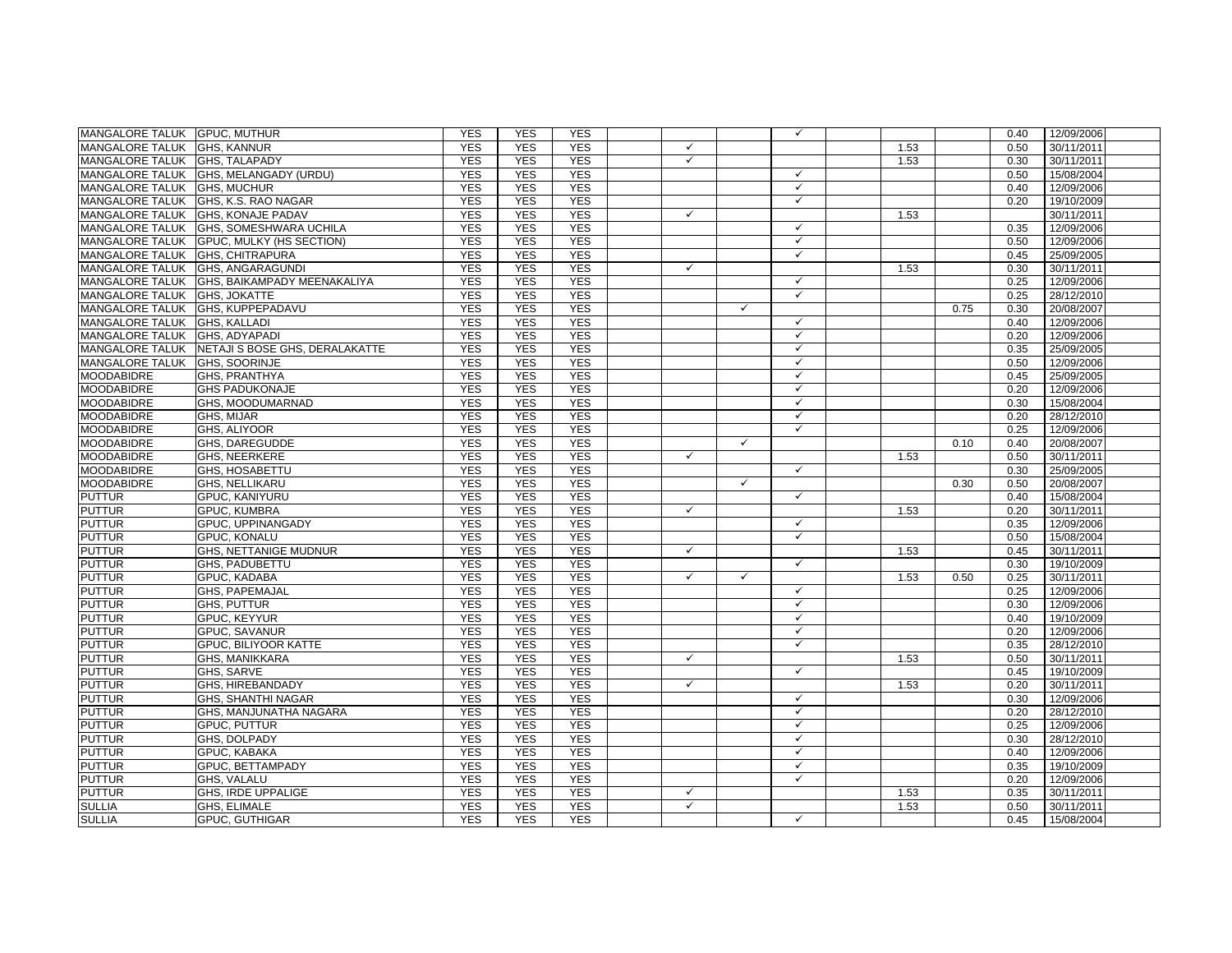| MANGALORE TALUK GPUC, MUTHUR     |                                                 | <b>YES</b> | <b>YES</b> | <b>YES</b> |              |              | $\checkmark$ |      |      | 0.40 | 12/09/2006 |
|----------------------------------|-------------------------------------------------|------------|------------|------------|--------------|--------------|--------------|------|------|------|------------|
| MANGALORE TALUK GHS, KANNUR      |                                                 | <b>YES</b> | <b>YES</b> | <b>YES</b> | $\checkmark$ |              |              | 1.53 |      | 0.50 | 30/11/2011 |
| MANGALORE TALUK GHS, TALAPADY    |                                                 | <b>YES</b> | <b>YES</b> | <b>YES</b> | $\checkmark$ |              |              | 1.53 |      | 0.30 | 30/11/2011 |
|                                  | MANGALORE TALUK GHS, MELANGADY (URDU)           | <b>YES</b> | <b>YES</b> | <b>YES</b> |              |              | $\checkmark$ |      |      | 0.50 | 15/08/2004 |
| MANGALORE TALUK GHS, MUCHUR      |                                                 | <b>YES</b> | <b>YES</b> | <b>YES</b> |              |              | $\checkmark$ |      |      | 0.40 | 12/09/2006 |
|                                  | MANGALORE TALUK GHS, K.S. RAO NAGAR             | <b>YES</b> | <b>YES</b> | <b>YES</b> |              |              | $\checkmark$ |      |      | 0.20 | 19/10/2009 |
|                                  | MANGALORE TALUK GHS, KONAJE PADAV               | <b>YES</b> | <b>YES</b> | <b>YES</b> | $\checkmark$ |              |              | 1.53 |      |      | 30/11/2011 |
|                                  | MANGALORE TALUK GHS, SOMESHWARA UCHILA          | <b>YES</b> | <b>YES</b> | <b>YES</b> |              |              | $\checkmark$ |      |      | 0.35 | 12/09/2006 |
|                                  | MANGALORE TALUK GPUC, MULKY (HS SECTION)        | <b>YES</b> | <b>YES</b> | <b>YES</b> |              |              | $\checkmark$ |      |      | 0.50 | 12/09/2006 |
| MANGALORE TALUK GHS, CHITRAPURA  |                                                 | <b>YES</b> | <b>YES</b> | <b>YES</b> |              |              | $\checkmark$ |      |      | 0.45 | 25/09/2005 |
| MANGALORE TALUK GHS, ANGARAGUNDI |                                                 | <b>YES</b> | <b>YES</b> | <b>YES</b> | $\checkmark$ |              |              | 1.53 |      | 0.30 | 30/11/2011 |
|                                  | MANGALORE TALUK GHS, BAIKAMPADY MEENAKALIYA     | <b>YES</b> | <b>YES</b> | <b>YES</b> |              |              | $\checkmark$ |      |      | 0.25 | 12/09/2006 |
| MANGALORE TALUK GHS, JOKATTE     |                                                 | <b>YES</b> | <b>YES</b> | <b>YES</b> |              |              | $\checkmark$ |      |      | 0.25 | 28/12/2010 |
| MANGALORE TALUK GHS, KUPPEPADAVU |                                                 | <b>YES</b> | <b>YES</b> | <b>YES</b> |              | $\checkmark$ |              |      | 0.75 | 0.30 | 20/08/2007 |
| MANGALORE TALUK GHS, KALLADI     |                                                 | <b>YES</b> | <b>YES</b> | <b>YES</b> |              |              | $\checkmark$ |      |      | 0.40 | 12/09/2006 |
| MANGALORE TALUK GHS, ADYAPADI    |                                                 | <b>YES</b> | <b>YES</b> | <b>YES</b> |              |              | $\checkmark$ |      |      | 0.20 | 12/09/2006 |
|                                  | MANGALORE TALUK INETAJI S BOSE GHS, DERALAKATTE | <b>YES</b> | <b>YES</b> | <b>YES</b> |              |              | $\checkmark$ |      |      | 0.35 | 25/09/2005 |
| MANGALORE TALUK GHS, SOORINJE    |                                                 | <b>YES</b> | <b>YES</b> | <b>YES</b> |              |              | $\checkmark$ |      |      | 0.50 | 12/09/2006 |
| <b>MOODABIDRE</b>                | <b>GHS, PRANTHYA</b>                            | <b>YES</b> | <b>YES</b> | <b>YES</b> |              |              | $\checkmark$ |      |      | 0.45 | 25/09/2005 |
| <b>MOODABIDRE</b>                | <b>GHS PADUKONAJE</b>                           | <b>YES</b> | <b>YES</b> | <b>YES</b> |              |              | $\checkmark$ |      |      | 0.20 | 12/09/2006 |
| <b>MOODABIDRE</b>                | GHS, MOODUMARNAD                                | <b>YES</b> | <b>YES</b> | <b>YES</b> |              |              | $\checkmark$ |      |      | 0.30 | 15/08/2004 |
| <b>MOODABIDRE</b>                | GHS, MIJAR                                      | <b>YES</b> | <b>YES</b> | <b>YES</b> |              |              | $\checkmark$ |      |      | 0.20 | 28/12/2010 |
| <b>MOODABIDRE</b>                | GHS, ALIYOOR                                    | <b>YES</b> | <b>YES</b> | <b>YES</b> |              |              | $\checkmark$ |      |      | 0.25 | 12/09/2006 |
| <b>MOODABIDRE</b>                | GHS, DAREGUDDE                                  | <b>YES</b> | <b>YES</b> | <b>YES</b> |              | $\checkmark$ |              |      | 0.10 | 0.40 | 20/08/2007 |
| <b>MOODABIDRE</b>                | <b>GHS, NEERKERE</b>                            | <b>YES</b> | <b>YES</b> | <b>YES</b> | $\checkmark$ |              |              | 1.53 |      | 0.50 | 30/11/2011 |
| <b>MOODABIDRE</b>                | <b>GHS, HOSABETTU</b>                           | <b>YES</b> | <b>YES</b> | <b>YES</b> |              |              | $\checkmark$ |      |      | 0.30 | 25/09/2005 |
| <b>MOODABIDRE</b>                | GHS, NELLIKARU                                  | <b>YES</b> | <b>YES</b> | <b>YES</b> |              | $\checkmark$ |              |      | 0.30 | 0.50 | 20/08/2007 |
| <b>PUTTUR</b>                    | GPUC, KANIYURU                                  | <b>YES</b> | <b>YES</b> | <b>YES</b> |              |              | $\checkmark$ |      |      | 0.40 | 15/08/2004 |
| <b>PUTTUR</b>                    | <b>GPUC, KUMBRA</b>                             | <b>YES</b> | <b>YES</b> | <b>YES</b> | $\checkmark$ |              |              | 1.53 |      | 0.20 | 30/11/2011 |
| <b>PUTTUR</b>                    | GPUC, UPPINANGADY                               | <b>YES</b> | <b>YES</b> | <b>YES</b> |              |              | $\checkmark$ |      |      | 0.35 | 12/09/2006 |
| <b>PUTTUR</b>                    | <b>GPUC, KONALU</b>                             | <b>YES</b> | <b>YES</b> | <b>YES</b> |              |              | $\checkmark$ |      |      | 0.50 | 15/08/2004 |
| <b>PUTTUR</b>                    | <b>GHS. NETTANIGE MUDNUR</b>                    | <b>YES</b> | <b>YES</b> | <b>YES</b> | $\checkmark$ |              |              | 1.53 |      | 0.45 | 30/11/2011 |
| <b>PUTTUR</b>                    | <b>GHS. PADUBETTU</b>                           | <b>YES</b> | <b>YES</b> | <b>YES</b> |              |              | $\checkmark$ |      |      | 0.30 | 19/10/2009 |
| <b>PUTTUR</b>                    | GPUC, KADABA                                    | <b>YES</b> | <b>YES</b> | <b>YES</b> | $\checkmark$ | $\checkmark$ |              | 1.53 | 0.50 | 0.25 | 30/11/2011 |
| <b>PUTTUR</b>                    | GHS, PAPEMAJAL                                  | <b>YES</b> | <b>YES</b> | <b>YES</b> |              |              | $\checkmark$ |      |      | 0.25 | 12/09/2006 |
| <b>PUTTUR</b>                    | GHS, PUTTUR                                     | <b>YES</b> | <b>YES</b> | <b>YES</b> |              |              | $\checkmark$ |      |      | 0.30 | 12/09/2006 |
| <b>PUTTUR</b>                    | GPUC, KEYYUR                                    | <b>YES</b> | <b>YES</b> | <b>YES</b> |              |              | $\checkmark$ |      |      | 0.40 | 19/10/2009 |
| <b>PUTTUR</b>                    | <b>GPUC, SAVANUR</b>                            | <b>YES</b> | <b>YES</b> | <b>YES</b> |              |              | $\checkmark$ |      |      | 0.20 | 12/09/2006 |
| <b>PUTTUR</b>                    | GPUC, BILIYOOR KATTE                            | <b>YES</b> | <b>YES</b> | <b>YES</b> |              |              | $\checkmark$ |      |      | 0.35 | 28/12/2010 |
| <b>PUTTUR</b>                    | GHS, MANIKKARA                                  | <b>YES</b> | <b>YES</b> | <b>YES</b> | $\checkmark$ |              |              | 1.53 |      | 0.50 | 30/11/2011 |
| <b>PUTTUR</b>                    | GHS, SARVE                                      | <b>YES</b> | <b>YES</b> | <b>YES</b> |              |              | $\checkmark$ |      |      | 0.45 | 19/10/2009 |
| <b>PUTTUR</b>                    | GHS, HIREBANDADY                                | <b>YES</b> | <b>YES</b> | <b>YES</b> | $\checkmark$ |              |              | 1.53 |      | 0.20 | 30/11/2011 |
| <b>PUTTUR</b>                    | <b>GHS, SHANTHI NAGAR</b>                       | <b>YES</b> | <b>YES</b> | <b>YES</b> |              |              | $\checkmark$ |      |      | 0.30 | 12/09/2006 |
| <b>PUTTUR</b>                    | GHS, MANJUNATHA NAGARA                          | <b>YES</b> | <b>YES</b> | <b>YES</b> |              |              | $\checkmark$ |      |      | 0.20 | 28/12/2010 |
| <b>PUTTUR</b>                    | GPUC, PUTTUR                                    | <b>YES</b> | <b>YES</b> | <b>YES</b> |              |              | $\checkmark$ |      |      | 0.25 | 12/09/2006 |
| <b>PUTTUR</b>                    | GHS, DOLPADY                                    | <b>YES</b> | <b>YES</b> | <b>YES</b> |              |              | $\checkmark$ |      |      | 0.30 | 28/12/2010 |
| <b>PUTTUR</b>                    | <b>GPUC, KABAKA</b>                             | <b>YES</b> | <b>YES</b> | <b>YES</b> |              |              | $\checkmark$ |      |      | 0.40 | 12/09/2006 |
| <b>PUTTUR</b>                    | <b>GPUC. BETTAMPADY</b>                         | <b>YES</b> | <b>YES</b> | <b>YES</b> |              |              | $\checkmark$ |      |      | 0.35 | 19/10/2009 |
| <b>PUTTUR</b>                    | <b>GHS. VALALU</b>                              | <b>YES</b> | <b>YES</b> | <b>YES</b> |              |              | $\checkmark$ |      |      | 0.20 | 12/09/2006 |
| <b>PUTTUR</b>                    | <b>GHS, IRDE UPPALIGE</b>                       | <b>YES</b> | <b>YES</b> | <b>YES</b> | $\checkmark$ |              |              | 1.53 |      | 0.35 | 30/11/2011 |
| <b>SULLIA</b>                    | <b>GHS. ELIMALE</b>                             | <b>YES</b> | <b>YES</b> | <b>YES</b> | $\checkmark$ |              |              | 1.53 |      | 0.50 | 30/11/2011 |
| <b>SULLIA</b>                    | <b>GPUC, GUTHIGAR</b>                           | <b>YES</b> | <b>YES</b> | <b>YES</b> |              |              | $\checkmark$ |      |      | 0.45 | 15/08/2004 |